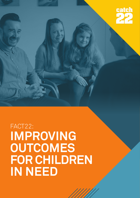

# FACT22: **IMPROVING OUTCOMES FOR CHILDREN IN NEED**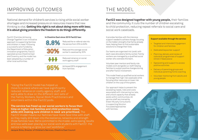### **Fact22 was designed together with young people,** their families and the community. It cuts the number of children escalating to child protection, reducing repeat referrals to social care and

social work caseloads.

Fact22 (Families Achieving Change Together) is an innovative approach to supporting families and children in need. Following a successful pilot funded by the Department of Education innovation programme, Fact22 operated across Cheshire East and Coventry, and the model has been adopted by a number of other local authorities.

## IMPROVING OUTCOMES

National demand for children's services is rising while social worker shortages and increased pressure on resources means that new thinking is vital. **Getting this right is not about doing more with less; it is about giving providers the freedom to do things differently.** 

"Using the Fact22 model has helped us move to a place where we have significantly reduced reliance on costly agency staff, and we're able to draw on the different skill sets of the Family Workers, Social Work Practitioners and volunteers within the Fact22 pods.

**The service has freed up our social workers to focus their time on higher risk families and child protection cases, while still making sure children in need are prioritised.** The

Fact22 model means our families have more face time with staff, so they really drill down into the resilience, networks and strength those families have. We're committed to the model, we're seeing results and now we're even placing our social work students with Fact22- the service is helping us 'grow our own' workforce." Jacquie Sims, Director of Children's Services, Cheshire East Council

#### **In Cheshire East since 2015 Fact22 has:**

### THE MODEL

It provides families with the intensive support needed to achieve change, focusing on the hidden strengths that family already have, helping them to find sustainable solutions to change their lives.

Our teams are organised into 'pods', with each case allocated a family worker. Family workers are managed by a qualified social worker who oversees the team.

Volunteer peer mentors and family role models work alongside our staff, helping families to sustain positive changes during and after Fact22 involvement.

This model freed up qualified social workers to manage their high-risk caseloads while focusing other resources on lower risk children on the cusp of the system.

Our approach helps to prevent the escalating needs, risks and costs associated with intervening too late, and unlock capacity that already exists within communities. All service staff are trained by Eileen Murphy Consultants in supporting Solution Focussed Approaches with families.

#### **Support available through the service:**

- Targeted and intensive engagement for children and families
- Dedicated keyworker support
- Planning, delivery and review of individual programmes of support (Child in Need plans)
- Signposting and support to access positive activities
- Delivery of parenting groups and individual parenting home coaching
- Volunteer mentoring from adults and young people





**30%**





Reduced the re-referral rate into the service from 23% to 8.8%

Reduced the average social worker's caseload by 30%

Reduced reliance on social

work agency staff

Achieved 95% engagement from families